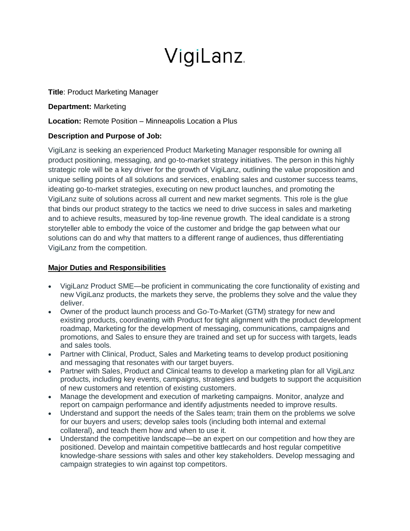## VigiLanz.

**Title**: Product Marketing Manager

**Department:** Marketing

**Location:** Remote Position – Minneapolis Location a Plus

## **Description and Purpose of Job:**

VigiLanz is seeking an experienced Product Marketing Manager responsible for owning all product positioning, messaging, and go-to-market strategy initiatives. The person in this highly strategic role will be a key driver for the growth of VigiLanz, outlining the value proposition and unique selling points of all solutions and services, enabling sales and customer success teams, ideating go-to-market strategies, executing on new product launches, and promoting the VigiLanz suite of solutions across all current and new market segments. This role is the glue that binds our product strategy to the tactics we need to drive success in sales and marketing and to achieve results, measured by top-line revenue growth. The ideal candidate is a strong storyteller able to embody the voice of the customer and bridge the gap between what our solutions can do and why that matters to a different range of audiences, thus differentiating VigiLanz from the competition.

## **Major Duties and Responsibilities**

- VigiLanz Product SME—be proficient in communicating the core functionality of existing and new VigiLanz products, the markets they serve, the problems they solve and the value they deliver.
- Owner of the product launch process and Go-To-Market (GTM) strategy for new and existing products, coordinating with Product for tight alignment with the product development roadmap, Marketing for the development of messaging, communications, campaigns and promotions, and Sales to ensure they are trained and set up for success with targets, leads and sales tools.
- Partner with Clinical, Product, Sales and Marketing teams to develop product positioning and messaging that resonates with our target buyers.
- Partner with Sales, Product and Clinical teams to develop a marketing plan for all VigiLanz products, including key events, campaigns, strategies and budgets to support the acquisition of new customers and retention of existing customers.
- Manage the development and execution of marketing campaigns. Monitor, analyze and report on campaign performance and identify adjustments needed to improve results.
- Understand and support the needs of the Sales team; train them on the problems we solve for our buyers and users; develop sales tools (including both internal and external collateral), and teach them how and when to use it.
- Understand the competitive landscape—be an expert on our competition and how they are positioned. Develop and maintain competitive battlecards and host regular competitive knowledge-share sessions with sales and other key stakeholders. Develop messaging and campaign strategies to win against top competitors.